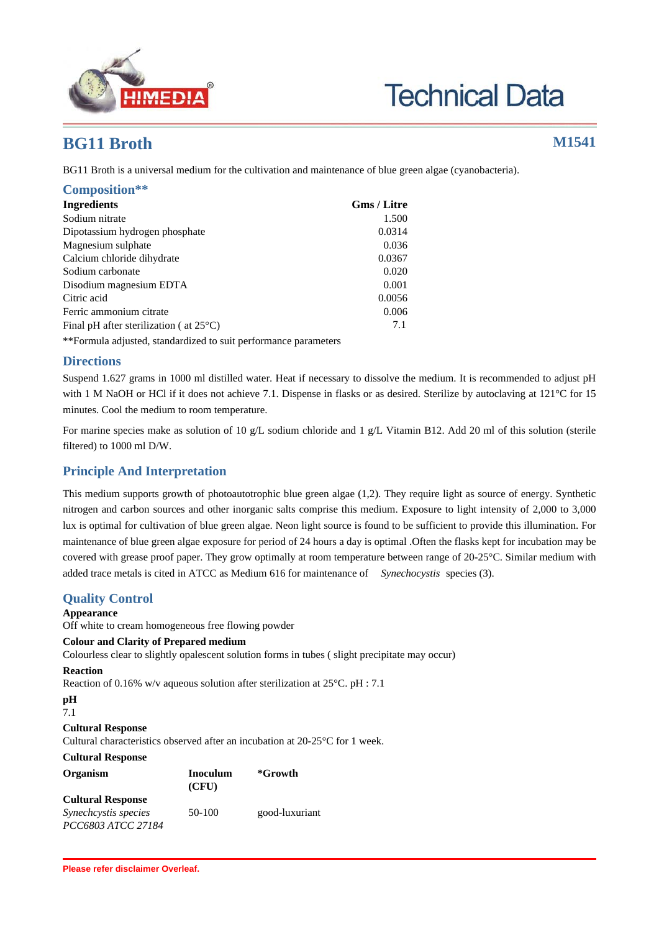

**Technical Data** 

# **BG11 Broth M1541**

BG11 Broth is a universal medium for the cultivation and maintenance of blue green algae (cyanobacteria).

| Composition**                                                   |                    |
|-----------------------------------------------------------------|--------------------|
| <b>Ingredients</b>                                              | <b>Gms / Litre</b> |
| Sodium nitrate                                                  | 1.500              |
| Dipotassium hydrogen phosphate                                  | 0.0314             |
| Magnesium sulphate                                              | 0.036              |
| Calcium chloride dihydrate                                      | 0.0367             |
| Sodium carbonate                                                | 0.020              |
| Disodium magnesium EDTA                                         | 0.001              |
| Citric acid                                                     | 0.0056             |
| Ferric ammonium citrate                                         | 0.006              |
| Final pH after sterilization ( $at 25^{\circ}$ C)               | 7.1                |
| **Formula adjusted, standardized to suit performance parameters |                    |

## **Directions**

Suspend 1.627 grams in 1000 ml distilled water. Heat if necessary to dissolve the medium. It is recommended to adjust pH with 1 M NaOH or HCl if it does not achieve 7.1. Dispense in flasks or as desired. Sterilize by autoclaving at 121°C for 15 minutes. Cool the medium to room temperature.

For marine species make as solution of 10 g/L sodium chloride and 1 g/L Vitamin B12. Add 20 ml of this solution (sterile filtered) to 1000 ml D/W.

## **Principle And Interpretation**

This medium supports growth of photoautotrophic blue green algae (1,2). They require light as source of energy. Synthetic nitrogen and carbon sources and other inorganic salts comprise this medium. Exposure to light intensity of 2,000 to 3,000 lux is optimal for cultivation of blue green algae. Neon light source is found to be sufficient to provide this illumination. For maintenance of blue green algae exposure for period of 24 hours a day is optimal .Often the flasks kept for incubation may be covered with grease proof paper. They grow optimally at room temperature between range of 20-25°C. Similar medium with added trace metals is cited in ATCC as Medium 616 for maintenance of *Synechocystis* species (3).

## **Quality Control**

**Appearance**

Off white to cream homogeneous free flowing powder

## **Colour and Clarity of Prepared medium**

Colourless clear to slightly opalescent solution forms in tubes ( slight precipitate may occur)

## **Reaction**

Reaction of 0.16% w/v aqueous solution after sterilization at 25°C. pH : 7.1

## **pH**

7.1

## **Cultural Response**

Cultural characteristics observed after an incubation at 20-25°C for 1 week.

| <b>Cultural Response</b>                          |                   |                |
|---------------------------------------------------|-------------------|----------------|
| Organism                                          | Inoculum<br>(CFU) | *Growth        |
| <b>Cultural Response</b>                          |                   |                |
| <i>Synechcystis species</i><br>PCC6803 ATCC 27184 | 50-100            | good-luxuriant |